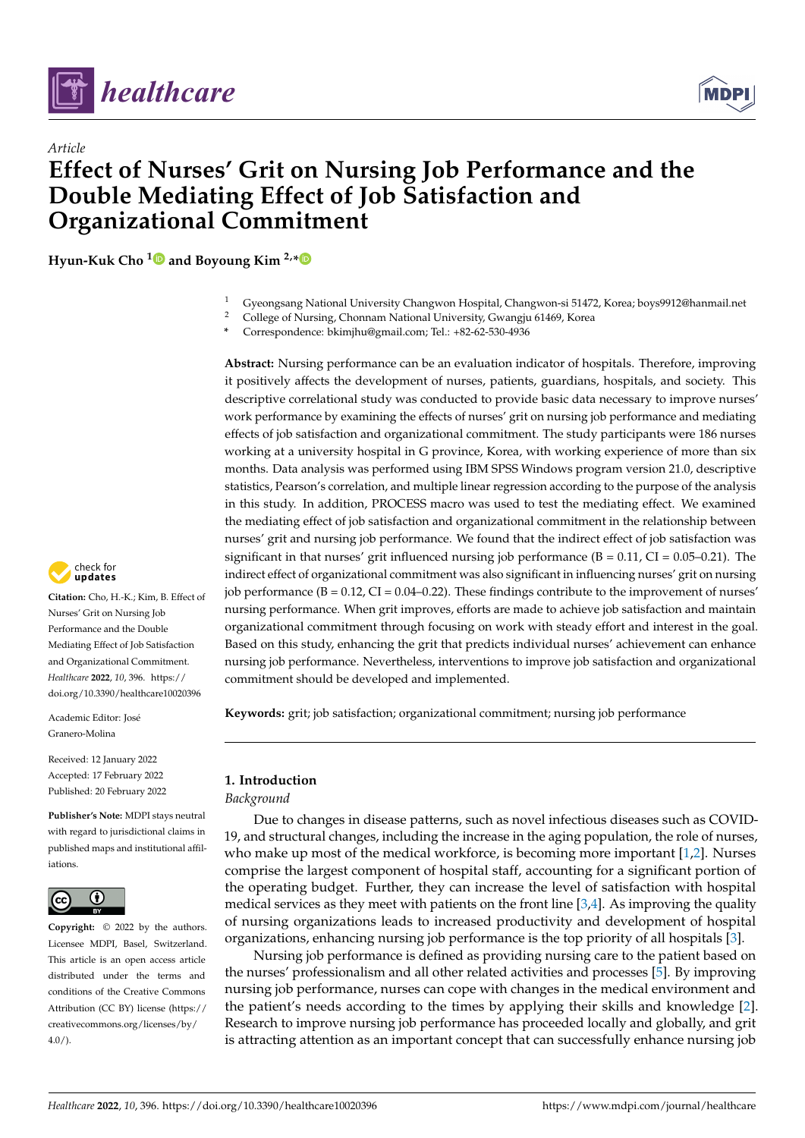

*Article*



# **Effect of Nurses' Grit on Nursing Job Performance and the Double Mediating Effect of Job Satisfaction and Organizational Commitment**

**Hyun-Kuk Cho [1](https://orcid.org/0000-0003-4254-9205) and Boyoung Kim 2,[\\*](https://orcid.org/0000-0001-8500-4278)**

- <sup>1</sup> Gyeongsang National University Changwon Hospital, Changwon-si 51472, Korea; boys9912@hanmail.net
- <sup>2</sup> College of Nursing, Chonnam National University, Gwangju 61469, Korea
- **\*** Correspondence: bkimjhu@gmail.com; Tel.: +82-62-530-4936

**Abstract:** Nursing performance can be an evaluation indicator of hospitals. Therefore, improving it positively affects the development of nurses, patients, guardians, hospitals, and society. This descriptive correlational study was conducted to provide basic data necessary to improve nurses' work performance by examining the effects of nurses' grit on nursing job performance and mediating effects of job satisfaction and organizational commitment. The study participants were 186 nurses working at a university hospital in G province, Korea, with working experience of more than six months. Data analysis was performed using IBM SPSS Windows program version 21.0, descriptive statistics, Pearson's correlation, and multiple linear regression according to the purpose of the analysis in this study. In addition, PROCESS macro was used to test the mediating effect. We examined the mediating effect of job satisfaction and organizational commitment in the relationship between nurses' grit and nursing job performance. We found that the indirect effect of job satisfaction was significant in that nurses' grit influenced nursing job performance  $(B = 0.11, CI = 0.05-0.21)$ . The indirect effect of organizational commitment was also significant in influencing nurses' grit on nursing job performance  $(B = 0.12, CI = 0.04 - 0.22)$ . These findings contribute to the improvement of nurses' nursing performance. When grit improves, efforts are made to achieve job satisfaction and maintain organizational commitment through focusing on work with steady effort and interest in the goal. Based on this study, enhancing the grit that predicts individual nurses' achievement can enhance nursing job performance. Nevertheless, interventions to improve job satisfaction and organizational commitment should be developed and implemented.

**Keywords:** grit; job satisfaction; organizational commitment; nursing job performance

## **1. Introduction**

*Background*

Due to changes in disease patterns, such as novel infectious diseases such as COVID-19, and structural changes, including the increase in the aging population, the role of nurses, who make up most of the medical workforce, is becoming more important [\[1](#page-9-0)[,2\]](#page-9-1). Nurses comprise the largest component of hospital staff, accounting for a significant portion of the operating budget. Further, they can increase the level of satisfaction with hospital medical services as they meet with patients on the front line [\[3,](#page-9-2)[4\]](#page-9-3). As improving the quality of nursing organizations leads to increased productivity and development of hospital organizations, enhancing nursing job performance is the top priority of all hospitals [\[3\]](#page-9-2).

Nursing job performance is defined as providing nursing care to the patient based on the nurses' professionalism and all other related activities and processes [\[5\]](#page-9-4). By improving nursing job performance, nurses can cope with changes in the medical environment and the patient's needs according to the times by applying their skills and knowledge [\[2\]](#page-9-1). Research to improve nursing job performance has proceeded locally and globally, and grit is attracting attention as an important concept that can successfully enhance nursing job



**Citation:** Cho, H.-K.; Kim, B. Effect of Nurses' Grit on Nursing Job Performance and the Double Mediating Effect of Job Satisfaction and Organizational Commitment. *Healthcare* **2022**, *10*, 396. [https://](https://doi.org/10.3390/healthcare10020396) [doi.org/10.3390/healthcare10020396](https://doi.org/10.3390/healthcare10020396)

Academic Editor: José Granero-Molina

Received: 12 January 2022 Accepted: 17 February 2022 Published: 20 February 2022

**Publisher's Note:** MDPI stays neutral with regard to jurisdictional claims in published maps and institutional affiliations.



**Copyright:** © 2022 by the authors. Licensee MDPI, Basel, Switzerland. This article is an open access article distributed under the terms and conditions of the Creative Commons Attribution (CC BY) license [\(https://](https://creativecommons.org/licenses/by/4.0/) [creativecommons.org/licenses/by/](https://creativecommons.org/licenses/by/4.0/)  $4.0/$ ).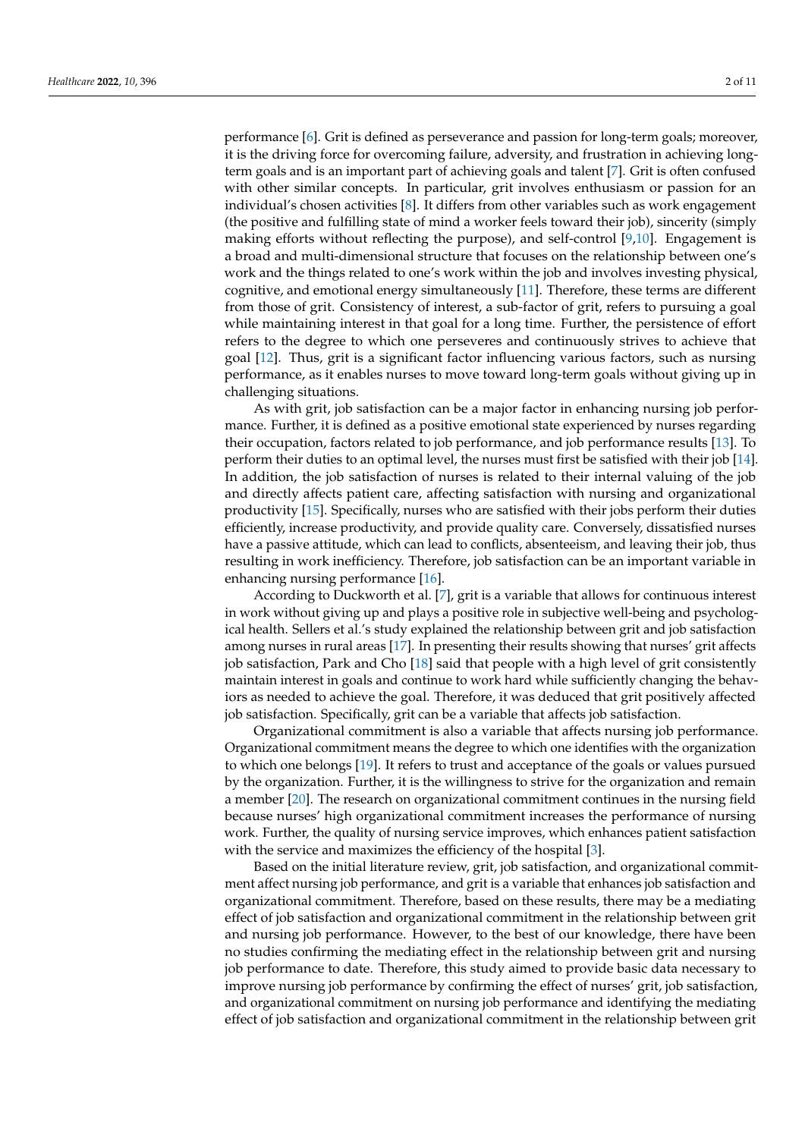performance [\[6\]](#page-9-5). Grit is defined as perseverance and passion for long-term goals; moreover, it is the driving force for overcoming failure, adversity, and frustration in achieving longterm goals and is an important part of achieving goals and talent [\[7\]](#page-9-6). Grit is often confused with other similar concepts. In particular, grit involves enthusiasm or passion for an individual's chosen activities [\[8\]](#page-9-7). It differs from other variables such as work engagement (the positive and fulfilling state of mind a worker feels toward their job), sincerity (simply making efforts without reflecting the purpose), and self-control [\[9](#page-9-8)[,10\]](#page-9-9). Engagement is a broad and multi-dimensional structure that focuses on the relationship between one's work and the things related to one's work within the job and involves investing physical, cognitive, and emotional energy simultaneously [\[11\]](#page-9-10). Therefore, these terms are different from those of grit. Consistency of interest, a sub-factor of grit, refers to pursuing a goal while maintaining interest in that goal for a long time. Further, the persistence of effort refers to the degree to which one perseveres and continuously strives to achieve that goal [\[12\]](#page-10-0). Thus, grit is a significant factor influencing various factors, such as nursing performance, as it enables nurses to move toward long-term goals without giving up in challenging situations.

As with grit, job satisfaction can be a major factor in enhancing nursing job performance. Further, it is defined as a positive emotional state experienced by nurses regarding their occupation, factors related to job performance, and job performance results [\[13\]](#page-10-1). To perform their duties to an optimal level, the nurses must first be satisfied with their job [\[14\]](#page-10-2). In addition, the job satisfaction of nurses is related to their internal valuing of the job and directly affects patient care, affecting satisfaction with nursing and organizational productivity [\[15\]](#page-10-3). Specifically, nurses who are satisfied with their jobs perform their duties efficiently, increase productivity, and provide quality care. Conversely, dissatisfied nurses have a passive attitude, which can lead to conflicts, absenteeism, and leaving their job, thus resulting in work inefficiency. Therefore, job satisfaction can be an important variable in enhancing nursing performance [\[16\]](#page-10-4).

According to Duckworth et al. [\[7\]](#page-9-6), grit is a variable that allows for continuous interest in work without giving up and plays a positive role in subjective well-being and psychological health. Sellers et al.'s study explained the relationship between grit and job satisfaction among nurses in rural areas [\[17\]](#page-10-5). In presenting their results showing that nurses' grit affects job satisfaction, Park and Cho [\[18\]](#page-10-6) said that people with a high level of grit consistently maintain interest in goals and continue to work hard while sufficiently changing the behaviors as needed to achieve the goal. Therefore, it was deduced that grit positively affected job satisfaction. Specifically, grit can be a variable that affects job satisfaction.

Organizational commitment is also a variable that affects nursing job performance. Organizational commitment means the degree to which one identifies with the organization to which one belongs [\[19\]](#page-10-7). It refers to trust and acceptance of the goals or values pursued by the organization. Further, it is the willingness to strive for the organization and remain a member [\[20\]](#page-10-8). The research on organizational commitment continues in the nursing field because nurses' high organizational commitment increases the performance of nursing work. Further, the quality of nursing service improves, which enhances patient satisfaction with the service and maximizes the efficiency of the hospital [\[3\]](#page-9-2).

Based on the initial literature review, grit, job satisfaction, and organizational commitment affect nursing job performance, and grit is a variable that enhances job satisfaction and organizational commitment. Therefore, based on these results, there may be a mediating effect of job satisfaction and organizational commitment in the relationship between grit and nursing job performance. However, to the best of our knowledge, there have been no studies confirming the mediating effect in the relationship between grit and nursing job performance to date. Therefore, this study aimed to provide basic data necessary to improve nursing job performance by confirming the effect of nurses' grit, job satisfaction, and organizational commitment on nursing job performance and identifying the mediating effect of job satisfaction and organizational commitment in the relationship between grit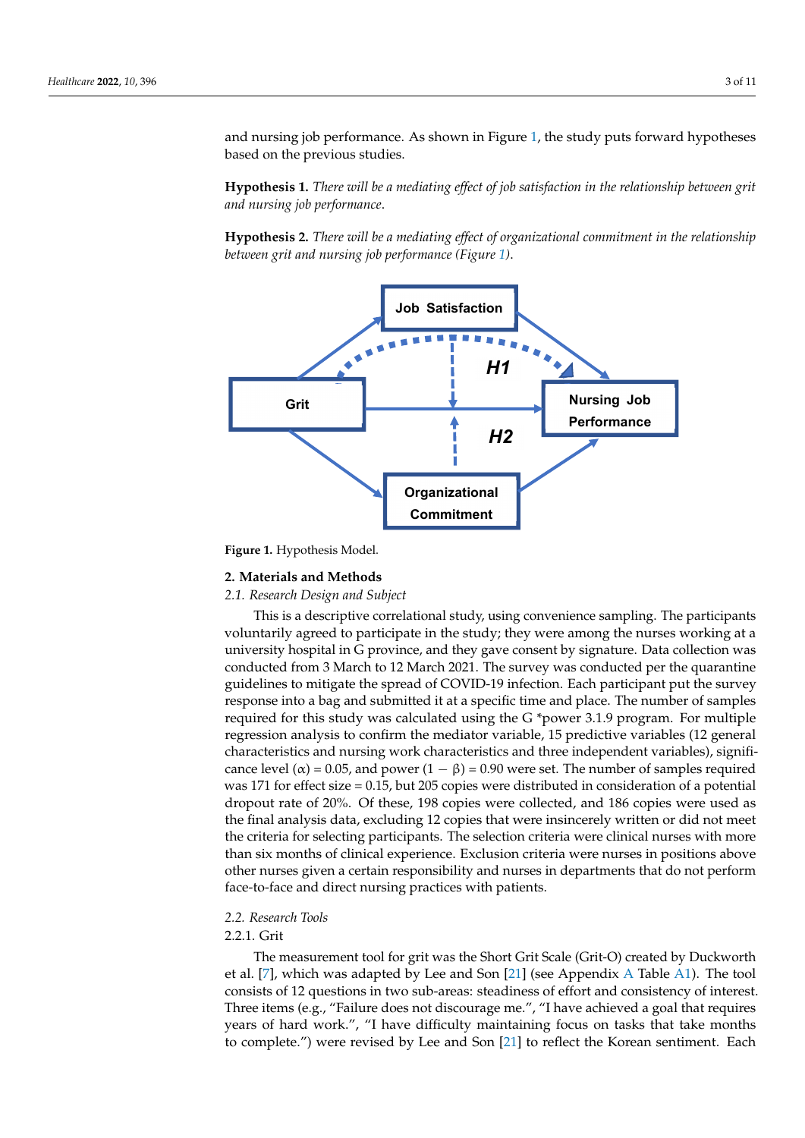and nursing job performance. As shown in Figure 1, the study puts forward hypotheses based on the previous studies.

**Hypothesis 1.** *There will be a mediating effect of job satisfaction in the relationship between grit and nursing job performance*. **Hypothesis** 1. *There will be a mediating effect of job satisfaction in the relationship between grit*  hypotheses based on the previous studies.

**Hypothesis 2.** *There will be a mediating effect of organizational commitment in the relationship between grit and nursing job performance (Figure [1\)](#page-2-0)*. *between grit and nursing job performance (Figure 1). and nursing job performance*. **Hypothesis** 2. *There will be a mediating effect of organizational commitment in the relationship* 

<span id="page-2-0"></span>

**Figure 1.** Hypothesis Model. **Figure 1.** Hypothesis Model.

#### **2. Materials and Methods**

## **2. Materials and Methods** *2.1. Research Design and Subject*

*2.1. Research Design and Subject* This is a descriptive correlational study, using convenience sampling. The participants voluntarily agreed to participate in the study; they were among the nurses working at a university hospital in G province, and they gave consent by signature. Data collection was conducted from 3 March to 12 March 2021. The survey was conducted per the quarantine guidelines to mitigate the spread of COVID-19 infection. Each participant put the survey response into a bag and submitted it at a specific time and place. The number of samples required for this study was calculated using the G \*power 3.1.9 program. For multiple regression analysis to confirm the mediator variable, 15 predictive variables (12 general characteristics and nursing work characteristics and three independent variables), significance level ( $\alpha$ ) = 0.05, and power (1 –  $\beta$ ) = 0.90 were set. The number of samples required was 171 for effect size = 0.15, but 205 copies were distributed in consideration of a potential dropout rate of 20%. Of these, 198 copies were collected, and 186 copies were used as the final analysis data, excluding 12 copies that were insincerely written or did not meet the criteria for selecting participants. The selection criteria were clinical nurses with more than six months of clinical experience. Exclusion criteria were nurses in positions above other nurses given a certain responsibility and nurses in departments that do not perform face-to-face and direct nursing practices with patients.

#### $\mathbf{p}$ *2.2. Research Tools*

### *2.2. Research Tools* 2.2.1. Grit

The measurement tool for grit was the Short Grit Scale (Grit-O) created by Duckworth  $T_{\text{eff}}$  measurement to call  $\frac{1}{2}$  and  $\frac{1}{2}$  are and  $\frac{1}{2}$  ( $\frac{1}{2}$ ) created by Duck-O  $\frac{1}{2}$  and  $\frac{1}{2}$  and  $\frac{1}{2}$  consists of 12 questions in two sub-areas: steadiness of effort and consistency o Echanole of 14 questions in the sub-linear, steadliness of enery and consistency of interest.<br>Three items (e.g., "Failure does not discourage me.", "I have achieved a goal that requires years of hard work.", "I have difficulty maintaining focus on tasks that take months et al. [\[7\]](#page-9-6), which was adapted by Lee and Son [\[21\]](#page-10-9) (see Appendix [A](#page-9-11) Table [A1\)](#page-9-12). The tool to complete.") were revised by Lee and Son [\[21\]](#page-10-9) to reflect the Korean sentiment. Each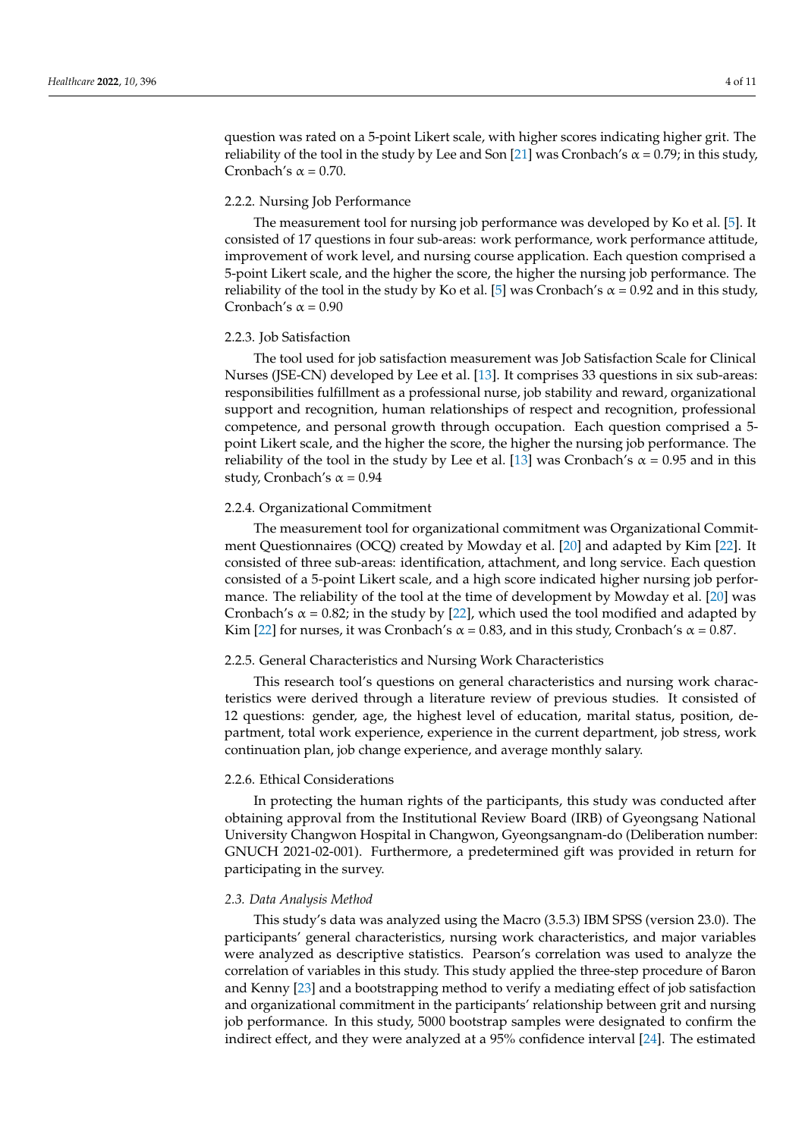question was rated on a 5-point Likert scale, with higher scores indicating higher grit. The reliability of the tool in the study by Lee and Son [\[21\]](#page-10-9) was Cronbach's  $\alpha$  = 0.79; in this study, Cronbach's  $\alpha$  = 0.70.

#### 2.2.2. Nursing Job Performance

The measurement tool for nursing job performance was developed by Ko et al. [\[5\]](#page-9-4). It consisted of 17 questions in four sub-areas: work performance, work performance attitude, improvement of work level, and nursing course application. Each question comprised a 5-point Likert scale, and the higher the score, the higher the nursing job performance. The reliability of the tool in the study by Ko et al. [\[5\]](#page-9-4) was Cronbach's  $\alpha$  = 0.92 and in this study, Cronbach's  $\alpha$  = 0.90

#### 2.2.3. Job Satisfaction

The tool used for job satisfaction measurement was Job Satisfaction Scale for Clinical Nurses (JSE-CN) developed by Lee et al. [\[13\]](#page-10-1). It comprises 33 questions in six sub-areas: responsibilities fulfillment as a professional nurse, job stability and reward, organizational support and recognition, human relationships of respect and recognition, professional competence, and personal growth through occupation. Each question comprised a 5 point Likert scale, and the higher the score, the higher the nursing job performance. The reliability of the tool in the study by Lee et al. [\[13\]](#page-10-1) was Cronbach's  $\alpha$  = 0.95 and in this study, Cronbach's  $\alpha$  = 0.94

#### 2.2.4. Organizational Commitment

The measurement tool for organizational commitment was Organizational Commitment Questionnaires (OCQ) created by Mowday et al. [\[20\]](#page-10-8) and adapted by Kim [\[22\]](#page-10-10). It consisted of three sub-areas: identification, attachment, and long service. Each question consisted of a 5-point Likert scale, and a high score indicated higher nursing job performance. The reliability of the tool at the time of development by Mowday et al. [\[20\]](#page-10-8) was Cronbach's  $\alpha$  = 0.82; in the study by [\[22\]](#page-10-10), which used the tool modified and adapted by Kim [\[22\]](#page-10-10) for nurses, it was Cronbach's  $\alpha$  = 0.83, and in this study, Cronbach's  $\alpha$  = 0.87.

#### 2.2.5. General Characteristics and Nursing Work Characteristics

This research tool's questions on general characteristics and nursing work characteristics were derived through a literature review of previous studies. It consisted of 12 questions: gender, age, the highest level of education, marital status, position, department, total work experience, experience in the current department, job stress, work continuation plan, job change experience, and average monthly salary.

#### 2.2.6. Ethical Considerations

In protecting the human rights of the participants, this study was conducted after obtaining approval from the Institutional Review Board (IRB) of Gyeongsang National University Changwon Hospital in Changwon, Gyeongsangnam-do (Deliberation number: GNUCH 2021-02-001). Furthermore, a predetermined gift was provided in return for participating in the survey.

#### *2.3. Data Analysis Method*

This study's data was analyzed using the Macro (3.5.3) IBM SPSS (version 23.0). The participants' general characteristics, nursing work characteristics, and major variables were analyzed as descriptive statistics. Pearson's correlation was used to analyze the correlation of variables in this study. This study applied the three-step procedure of Baron and Kenny [\[23\]](#page-10-11) and a bootstrapping method to verify a mediating effect of job satisfaction and organizational commitment in the participants' relationship between grit and nursing job performance. In this study, 5000 bootstrap samples were designated to confirm the indirect effect, and they were analyzed at a 95% confidence interval [\[24\]](#page-10-12). The estimated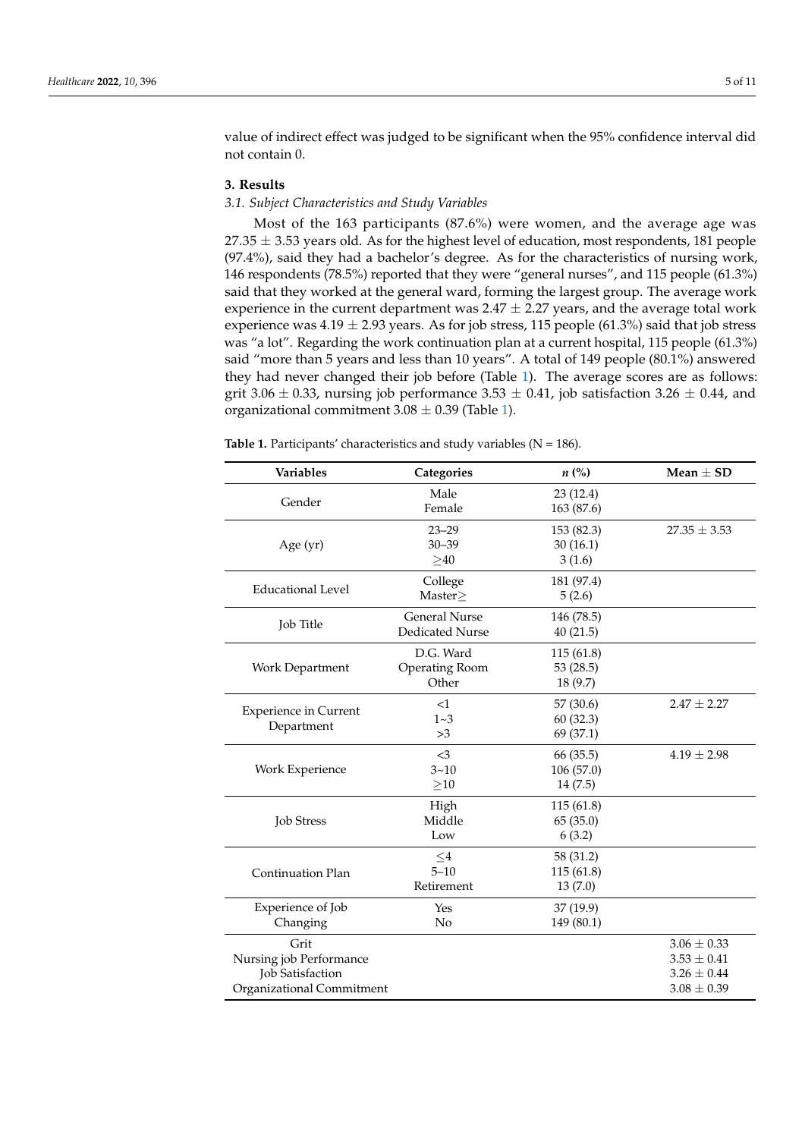value of indirect effect was judged to be significant when the 95% confidence interval did not contain 0.

#### **3. Results**

### *3.1. Subject Characteristics and Study Variables*

Most of the 163 participants (87.6%) were women, and the average age was  $27.35 \pm 3.53$  years old. As for the highest level of education, most respondents, 181 people (97.4%), said they had a bachelor's degree. As for the characteristics of nursing work, 146 respondents (78.5%) reported that they were "general nurses", and 115 people (61.3%) said that they worked at the general ward, forming the largest group. The average work experience in the current department was  $2.47 \pm 2.27$  years, and the average total work experience was  $4.19 \pm 2.93$  years. As for job stress, 115 people (61.3%) said that job stress was "a lot". Regarding the work continuation plan at a current hospital, 115 people (61.3%) said "more than 5 years and less than 10 years". A total of 149 people (80.1%) answered they had never changed their job before (Table [1\)](#page-4-0). The average scores are as follows: grit 3.06  $\pm$  0.33, nursing job performance 3.53  $\pm$  0.41, job satisfaction 3.26  $\pm$  0.44, and organizational commitment  $3.08 \pm 0.39$  (Table [1\)](#page-4-0).

<span id="page-4-0"></span>**Table 1.** Participants' characteristics and study variables  $(N = 186)$ .

| Variables                    | Categories             | $n\left(\%\right)$ | Mean $\pm$ SD    |
|------------------------------|------------------------|--------------------|------------------|
|                              | Male                   | 23(12.4)           |                  |
| Gender                       | Female                 | 163 (87.6)         |                  |
|                              | $23 - 29$              | 153 (82.3)         | $27.35 \pm 3.53$ |
| Age (yr)                     | $30 - 39$              | 30(16.1)           |                  |
|                              | >40                    | 3(1.6)             |                  |
|                              | College                | 181 (97.4)         |                  |
| <b>Educational Level</b>     | Master $\geq$          | 5(2.6)             |                  |
|                              | <b>General Nurse</b>   | 146 (78.5)         |                  |
| Job Title                    | <b>Dedicated Nurse</b> | 40(21.5)           |                  |
|                              | D.G. Ward              | 115 (61.8)         |                  |
| Work Department              | Operating Room         | 53 (28.5)          |                  |
|                              | Other                  | 18(9.7)            |                  |
| <b>Experience in Current</b> | <1                     | 57 (30.6)          | $2.47 \pm 2.27$  |
| Department                   | $1 - 3$                | 60(32.3)           |                  |
|                              | >3                     | 69 (37.1)          |                  |
|                              | <3                     | 66 (35.5)          | $4.19 \pm 2.98$  |
| Work Experience              | $3 - 10$               | 106 (57.0)         |                  |
|                              | >10                    | 14 (7.5)           |                  |
|                              | High                   | 115(61.8)          |                  |
| <b>Job Stress</b>            | Middle                 | 65 (35.0)          |                  |
|                              | Low                    | 6(3.2)             |                  |
|                              | $\leq$ 4               | 58 (31.2)          |                  |
| <b>Continuation Plan</b>     | $5 - 10$               | 115(61.8)          |                  |
|                              | Retirement             | 13(7.0)            |                  |
| Experience of Job            | Yes                    | 37 (19.9)          |                  |
| Changing                     | No                     | 149 (80.1)         |                  |
| Grit                         |                        |                    | $3.06 \pm 0.33$  |
| Nursing job Performance      |                        |                    | $3.53 \pm 0.41$  |
| <b>Job Satisfaction</b>      |                        |                    | $3.26 \pm 0.44$  |
| Organizational Commitment    |                        | $3.08 \pm 0.39$    |                  |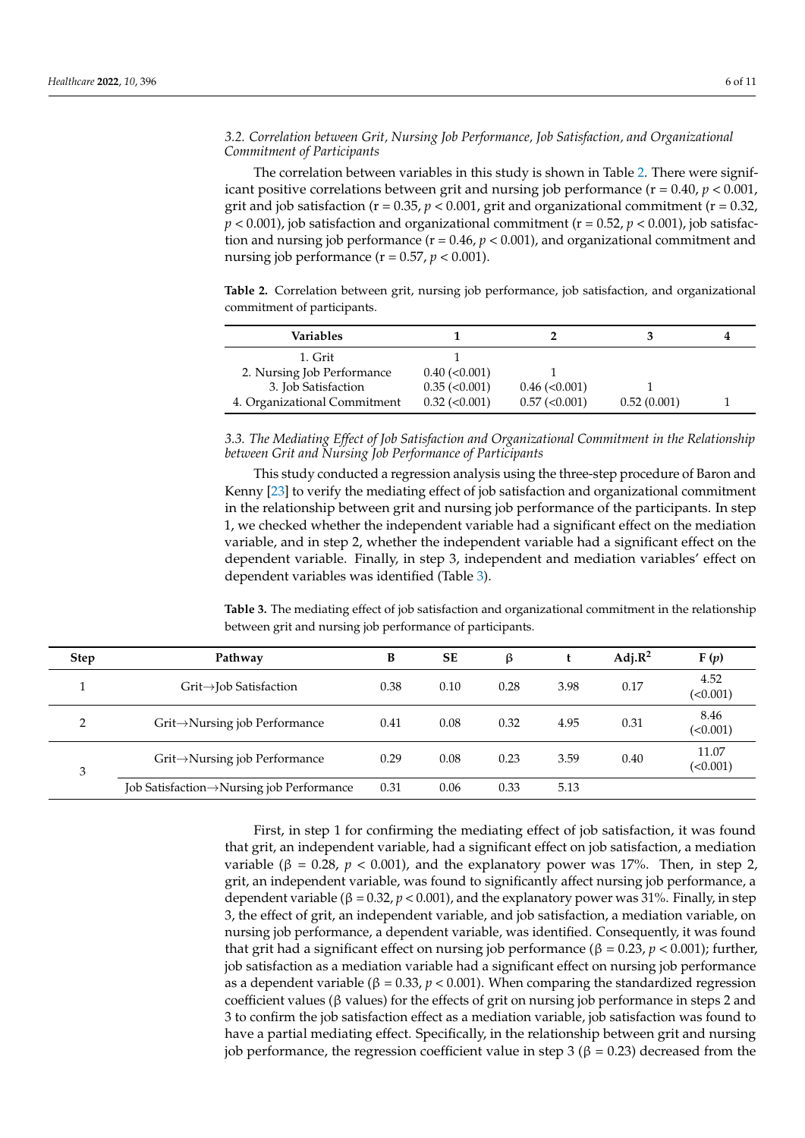#### *3.2. Correlation between Grit, Nursing Job Performance, Job Satisfaction, and Organizational Commitment of Participants*

The correlation between variables in this study is shown in Table [2.](#page-5-0) There were significant positive correlations between grit and nursing job performance ( $r = 0.40$ ,  $p < 0.001$ , grit and job satisfaction ( $r = 0.35$ ,  $p < 0.001$ , grit and organizational commitment ( $r = 0.32$ ,  $p < 0.001$ ), job satisfaction and organizational commitment ( $r = 0.52$ ,  $p < 0.001$ ), job satisfaction and nursing job performance (r = 0.46, *p* < 0.001), and organizational commitment and nursing job performance ( $r = 0.57$ ,  $p < 0.001$ ).

<span id="page-5-0"></span>**Table 2.** Correlation between grit, nursing job performance, job satisfaction, and organizational commitment of participants.

| Variables                    |                      |                      |             |  |
|------------------------------|----------------------|----------------------|-------------|--|
| 1. Grit                      |                      |                      |             |  |
| 2. Nursing Job Performance   | $0.40$ ( $< 0.001$ ) |                      |             |  |
| 3. Job Satisfaction          | $0.35 \approx 0.001$ | $0.46$ ( $< 0.001$ ) |             |  |
| 4. Organizational Commitment | $0.32$ ( $0.001$ )   | $0.57$ ( $< 0.001$ ) | 0.52(0.001) |  |

*3.3. The Mediating Effect of Job Satisfaction and Organizational Commitment in the Relationship between Grit and Nursing Job Performance of Participants*

This study conducted a regression analysis using the three-step procedure of Baron and Kenny [\[23\]](#page-10-11) to verify the mediating effect of job satisfaction and organizational commitment in the relationship between grit and nursing job performance of the participants. In step 1, we checked whether the independent variable had a significant effect on the mediation variable, and in step 2, whether the independent variable had a significant effect on the dependent variable. Finally, in step 3, independent and mediation variables' effect on dependent variables was identified (Table [3\)](#page-5-1).

<span id="page-5-1"></span>**Table 3.** The mediating effect of job satisfaction and organizational commitment in the relationship between grit and nursing job performance of participants.

| <b>Step</b> | Pathway                                    | В    | <b>SE</b> | β    |      | $Adj.R^2$ | F(p)              |
|-------------|--------------------------------------------|------|-----------|------|------|-----------|-------------------|
|             | $Grit\rightarrow$ Job Satisfaction         | 0.38 | 0.10      | 0.28 | 3.98 | 0.17      | 4.52<br>(<0.001)  |
| ∍           | Grit->Nursing job Performance              | 0.41 | 0.08      | 0.32 | 4.95 | 0.31      | 8.46<br>(<0.001)  |
| 3           | $Grit \rightarrow$ Nursing job Performance | 0.29 | 0.08      | 0.23 | 3.59 | 0.40      | 11.07<br>(<0.001) |
|             | Job Satisfaction→Nursing job Performance   | 0.31 | 0.06      | 0.33 | 5.13 |           |                   |

First, in step 1 for confirming the mediating effect of job satisfaction, it was found that grit, an independent variable, had a significant effect on job satisfaction, a mediation variable ( $β = 0.28$ ,  $p < 0.001$ ), and the explanatory power was 17%. Then, in step 2, grit, an independent variable, was found to significantly affect nursing job performance, a dependent variable (β = 0.32,  $p$  < 0.001), and the explanatory power was 31%. Finally, in step 3, the effect of grit, an independent variable, and job satisfaction, a mediation variable, on nursing job performance, a dependent variable, was identified. Consequently, it was found that grit had a significant effect on nursing job performance ( $β = 0.23$ ,  $p < 0.001$ ); further, job satisfaction as a mediation variable had a significant effect on nursing job performance as a dependent variable ( $\beta = 0.33$ ,  $p < 0.001$ ). When comparing the standardized regression coefficient values (β values) for the effects of grit on nursing job performance in steps 2 and 3 to confirm the job satisfaction effect as a mediation variable, job satisfaction was found to have a partial mediating effect. Specifically, in the relationship between grit and nursing job performance, the regression coefficient value in step 3 (β = 0.23) decreased from the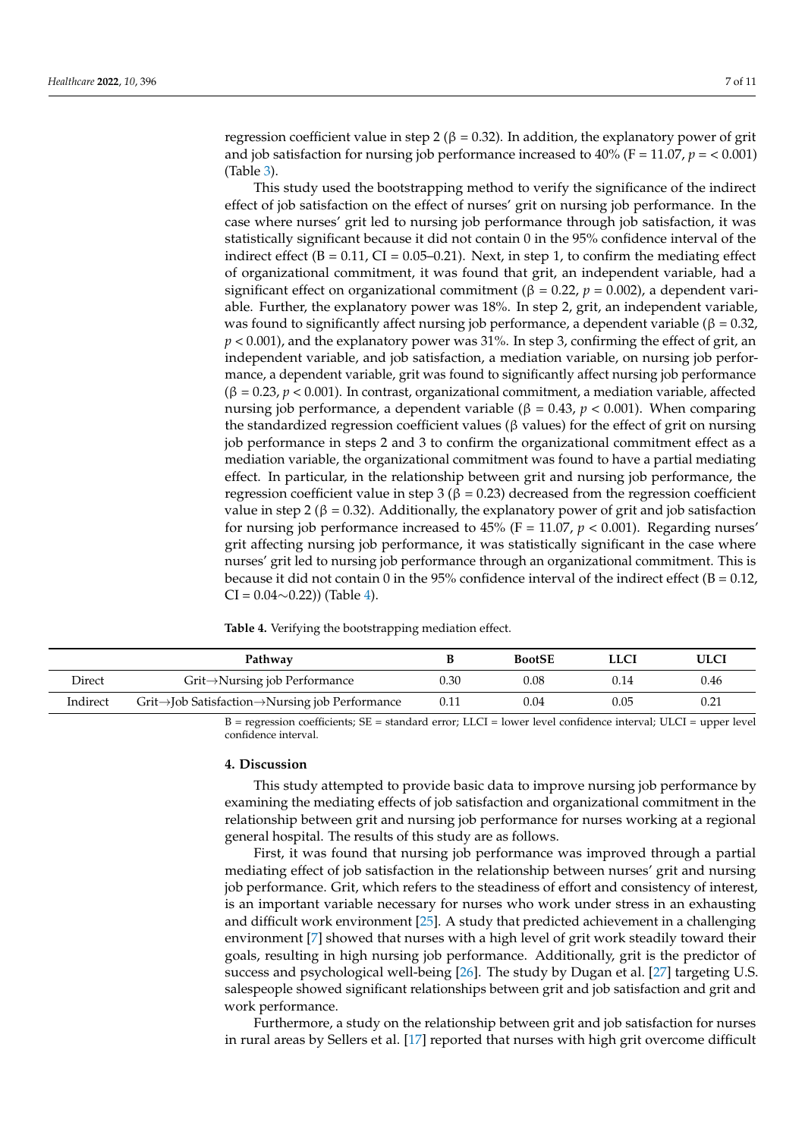regression coefficient value in step 2 ( $β = 0.32$ ). In addition, the explanatory power of grit and job satisfaction for nursing job performance increased to 40% (F = 11.07,  $p = < 0.001$ ) (Table [3\)](#page-5-1).

This study used the bootstrapping method to verify the significance of the indirect effect of job satisfaction on the effect of nurses' grit on nursing job performance. In the case where nurses' grit led to nursing job performance through job satisfaction, it was statistically significant because it did not contain 0 in the 95% confidence interval of the indirect effect ( $B = 0.11$ , CI = 0.05–0.21). Next, in step 1, to confirm the mediating effect of organizational commitment, it was found that grit, an independent variable, had a significant effect on organizational commitment ( $\beta = 0.22$ ,  $p = 0.002$ ), a dependent variable. Further, the explanatory power was 18%. In step 2, grit, an independent variable, was found to significantly affect nursing job performance, a dependent variable ( $\beta = 0.32$ , *p* < 0.001), and the explanatory power was 31%. In step 3, confirming the effect of grit, an independent variable, and job satisfaction, a mediation variable, on nursing job performance, a dependent variable, grit was found to significantly affect nursing job performance (β = 0.23, *p* < 0.001). In contrast, organizational commitment, a mediation variable, affected nursing job performance, a dependent variable (β = 0.43, *p* < 0.001). When comparing the standardized regression coefficient values ( $\beta$  values) for the effect of grit on nursing job performance in steps 2 and 3 to confirm the organizational commitment effect as a mediation variable, the organizational commitment was found to have a partial mediating effect. In particular, in the relationship between grit and nursing job performance, the regression coefficient value in step 3 ( $β = 0.23$ ) decreased from the regression coefficient value in step 2 (β = 0.32). Additionally, the explanatory power of grit and job satisfaction for nursing job performance increased to  $45\%$  (F = 11.07,  $p < 0.001$ ). Regarding nurses' grit affecting nursing job performance, it was statistically significant in the case where nurses' grit led to nursing job performance through an organizational commitment. This is because it did not contain 0 in the 95% confidence interval of the indirect effect ( $B = 0.12$ ,  $CI = 0.04 \sim 0.22$ )) (Table [4\)](#page-6-0).

<span id="page-6-0"></span>**Table 4.** Verifying the bootstrapping mediation effect.

|          | Pathway                                       |      | <b>BootSE</b> | <b>LLCI</b> | ULCI |
|----------|-----------------------------------------------|------|---------------|-------------|------|
| Direct   | $Grit \rightarrow$ Nursing job Performance    | 0.30 | 0.08          | 0.14        | 0.46 |
| Indirect | Grit→Job Satisfaction→Nursing job Performance | 0.11 | 0.04          | 0.05        | 0.21 |

B = regression coefficients; SE = standard error; LLCI = lower level confidence interval; ULCI = upper level confidence interval.

#### **4. Discussion**

This study attempted to provide basic data to improve nursing job performance by examining the mediating effects of job satisfaction and organizational commitment in the relationship between grit and nursing job performance for nurses working at a regional general hospital. The results of this study are as follows.

First, it was found that nursing job performance was improved through a partial mediating effect of job satisfaction in the relationship between nurses' grit and nursing job performance. Grit, which refers to the steadiness of effort and consistency of interest, is an important variable necessary for nurses who work under stress in an exhausting and difficult work environment [\[25\]](#page-10-13). A study that predicted achievement in a challenging environment [\[7\]](#page-9-6) showed that nurses with a high level of grit work steadily toward their goals, resulting in high nursing job performance. Additionally, grit is the predictor of success and psychological well-being [\[26\]](#page-10-14). The study by Dugan et al. [\[27\]](#page-10-15) targeting U.S. salespeople showed significant relationships between grit and job satisfaction and grit and work performance.

Furthermore, a study on the relationship between grit and job satisfaction for nurses in rural areas by Sellers et al. [\[17\]](#page-10-5) reported that nurses with high grit overcome difficult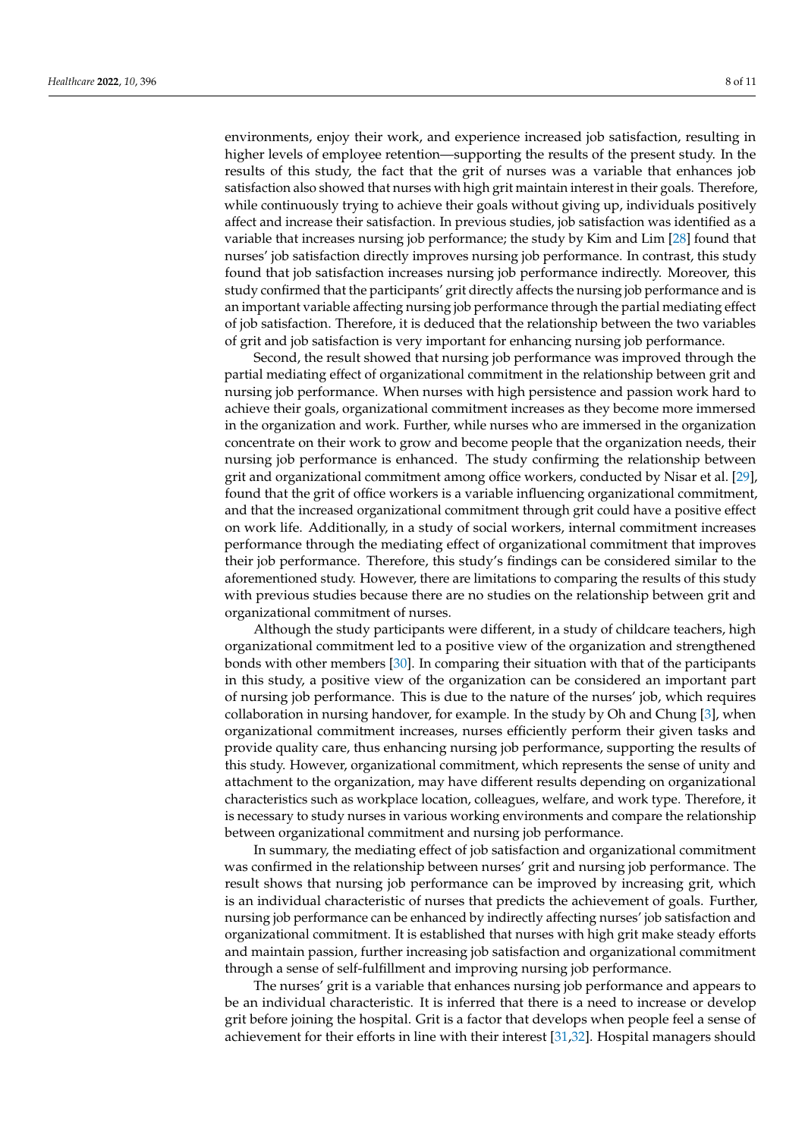environments, enjoy their work, and experience increased job satisfaction, resulting in higher levels of employee retention—supporting the results of the present study. In the results of this study, the fact that the grit of nurses was a variable that enhances job satisfaction also showed that nurses with high grit maintain interest in their goals. Therefore, while continuously trying to achieve their goals without giving up, individuals positively affect and increase their satisfaction. In previous studies, job satisfaction was identified as a variable that increases nursing job performance; the study by Kim and Lim [\[28\]](#page-10-16) found that nurses' job satisfaction directly improves nursing job performance. In contrast, this study found that job satisfaction increases nursing job performance indirectly. Moreover, this study confirmed that the participants' grit directly affects the nursing job performance and is an important variable affecting nursing job performance through the partial mediating effect of job satisfaction. Therefore, it is deduced that the relationship between the two variables of grit and job satisfaction is very important for enhancing nursing job performance.

Second, the result showed that nursing job performance was improved through the partial mediating effect of organizational commitment in the relationship between grit and nursing job performance. When nurses with high persistence and passion work hard to achieve their goals, organizational commitment increases as they become more immersed in the organization and work. Further, while nurses who are immersed in the organization concentrate on their work to grow and become people that the organization needs, their nursing job performance is enhanced. The study confirming the relationship between grit and organizational commitment among office workers, conducted by Nisar et al. [\[29\]](#page-10-17), found that the grit of office workers is a variable influencing organizational commitment, and that the increased organizational commitment through grit could have a positive effect on work life. Additionally, in a study of social workers, internal commitment increases performance through the mediating effect of organizational commitment that improves their job performance. Therefore, this study's findings can be considered similar to the aforementioned study. However, there are limitations to comparing the results of this study with previous studies because there are no studies on the relationship between grit and organizational commitment of nurses.

Although the study participants were different, in a study of childcare teachers, high organizational commitment led to a positive view of the organization and strengthened bonds with other members [\[30\]](#page-10-18). In comparing their situation with that of the participants in this study, a positive view of the organization can be considered an important part of nursing job performance. This is due to the nature of the nurses' job, which requires collaboration in nursing handover, for example. In the study by Oh and Chung [\[3\]](#page-9-2), when organizational commitment increases, nurses efficiently perform their given tasks and provide quality care, thus enhancing nursing job performance, supporting the results of this study. However, organizational commitment, which represents the sense of unity and attachment to the organization, may have different results depending on organizational characteristics such as workplace location, colleagues, welfare, and work type. Therefore, it is necessary to study nurses in various working environments and compare the relationship between organizational commitment and nursing job performance.

In summary, the mediating effect of job satisfaction and organizational commitment was confirmed in the relationship between nurses' grit and nursing job performance. The result shows that nursing job performance can be improved by increasing grit, which is an individual characteristic of nurses that predicts the achievement of goals. Further, nursing job performance can be enhanced by indirectly affecting nurses' job satisfaction and organizational commitment. It is established that nurses with high grit make steady efforts and maintain passion, further increasing job satisfaction and organizational commitment through a sense of self-fulfillment and improving nursing job performance.

The nurses' grit is a variable that enhances nursing job performance and appears to be an individual characteristic. It is inferred that there is a need to increase or develop grit before joining the hospital. Grit is a factor that develops when people feel a sense of achievement for their efforts in line with their interest [\[31](#page-10-19)[,32\]](#page-10-20). Hospital managers should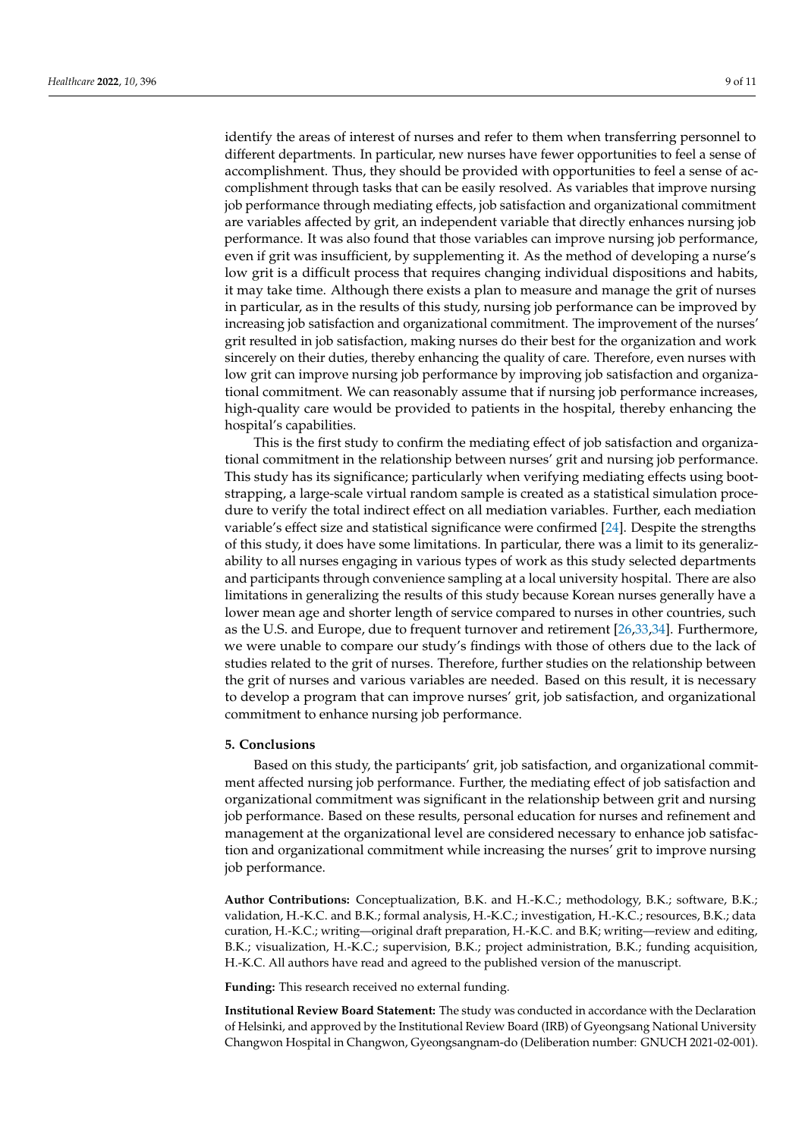identify the areas of interest of nurses and refer to them when transferring personnel to different departments. In particular, new nurses have fewer opportunities to feel a sense of accomplishment. Thus, they should be provided with opportunities to feel a sense of accomplishment through tasks that can be easily resolved. As variables that improve nursing job performance through mediating effects, job satisfaction and organizational commitment are variables affected by grit, an independent variable that directly enhances nursing job performance. It was also found that those variables can improve nursing job performance, even if grit was insufficient, by supplementing it. As the method of developing a nurse's low grit is a difficult process that requires changing individual dispositions and habits, it may take time. Although there exists a plan to measure and manage the grit of nurses in particular, as in the results of this study, nursing job performance can be improved by increasing job satisfaction and organizational commitment. The improvement of the nurses' grit resulted in job satisfaction, making nurses do their best for the organization and work sincerely on their duties, thereby enhancing the quality of care. Therefore, even nurses with low grit can improve nursing job performance by improving job satisfaction and organizational commitment. We can reasonably assume that if nursing job performance increases, high-quality care would be provided to patients in the hospital, thereby enhancing the hospital's capabilities.

This is the first study to confirm the mediating effect of job satisfaction and organizational commitment in the relationship between nurses' grit and nursing job performance. This study has its significance; particularly when verifying mediating effects using bootstrapping, a large-scale virtual random sample is created as a statistical simulation procedure to verify the total indirect effect on all mediation variables. Further, each mediation variable's effect size and statistical significance were confirmed [\[24\]](#page-10-12). Despite the strengths of this study, it does have some limitations. In particular, there was a limit to its generalizability to all nurses engaging in various types of work as this study selected departments and participants through convenience sampling at a local university hospital. There are also limitations in generalizing the results of this study because Korean nurses generally have a lower mean age and shorter length of service compared to nurses in other countries, such as the U.S. and Europe, due to frequent turnover and retirement [\[26](#page-10-14)[,33](#page-10-21)[,34\]](#page-10-22). Furthermore, we were unable to compare our study's findings with those of others due to the lack of studies related to the grit of nurses. Therefore, further studies on the relationship between the grit of nurses and various variables are needed. Based on this result, it is necessary to develop a program that can improve nurses' grit, job satisfaction, and organizational commitment to enhance nursing job performance.

#### **5. Conclusions**

Based on this study, the participants' grit, job satisfaction, and organizational commitment affected nursing job performance. Further, the mediating effect of job satisfaction and organizational commitment was significant in the relationship between grit and nursing job performance. Based on these results, personal education for nurses and refinement and management at the organizational level are considered necessary to enhance job satisfaction and organizational commitment while increasing the nurses' grit to improve nursing job performance.

**Author Contributions:** Conceptualization, B.K. and H.-K.C.; methodology, B.K.; software, B.K.; validation, H.-K.C. and B.K.; formal analysis, H.-K.C.; investigation, H.-K.C.; resources, B.K.; data curation, H.-K.C.; writing—original draft preparation, H.-K.C. and B.K; writing—review and editing, B.K.; visualization, H.-K.C.; supervision, B.K.; project administration, B.K.; funding acquisition, H.-K.C. All authors have read and agreed to the published version of the manuscript.

**Funding:** This research received no external funding.

**Institutional Review Board Statement:** The study was conducted in accordance with the Declaration of Helsinki, and approved by the Institutional Review Board (IRB) of Gyeongsang National University Changwon Hospital in Changwon, Gyeongsangnam-do (Deliberation number: GNUCH 2021-02-001).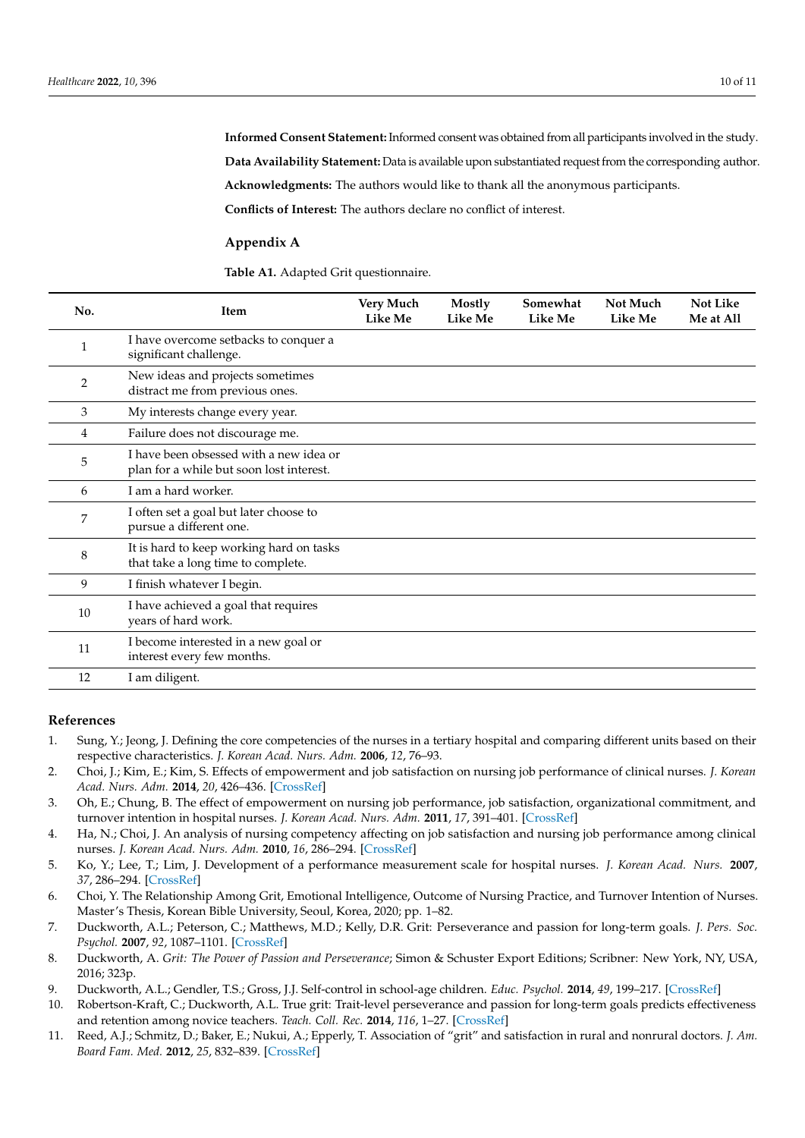**Informed Consent Statement:** Informed consent was obtained from all participants involved in the study. **Data Availability Statement:** Data is available upon substantiated request from the corresponding author. **Acknowledgments:** The authors would like to thank all the anonymous participants. **Conflicts of Interest:** The authors declare no conflict of interest.

#### <span id="page-9-11"></span>**Appendix A**

<span id="page-9-12"></span>**Table A1.** Adapted Grit questionnaire.

| No.            | Item                                                                                | Very Much<br><b>Like Me</b> | Mostly<br>Like Me | Somewhat<br><b>Like Me</b> | Not Much<br><b>Like Me</b> | <b>Not Like</b><br>Me at All |
|----------------|-------------------------------------------------------------------------------------|-----------------------------|-------------------|----------------------------|----------------------------|------------------------------|
| 1              | I have overcome setbacks to conquer a<br>significant challenge.                     |                             |                   |                            |                            |                              |
| $\overline{2}$ | New ideas and projects sometimes<br>distract me from previous ones.                 |                             |                   |                            |                            |                              |
| 3              | My interests change every year.                                                     |                             |                   |                            |                            |                              |
| $\overline{4}$ | Failure does not discourage me.                                                     |                             |                   |                            |                            |                              |
| 5              | I have been obsessed with a new idea or<br>plan for a while but soon lost interest. |                             |                   |                            |                            |                              |
| 6              | I am a hard worker.                                                                 |                             |                   |                            |                            |                              |
| 7              | I often set a goal but later choose to<br>pursue a different one.                   |                             |                   |                            |                            |                              |
| 8              | It is hard to keep working hard on tasks<br>that take a long time to complete.      |                             |                   |                            |                            |                              |
| 9              | I finish whatever I begin.                                                          |                             |                   |                            |                            |                              |
| 10             | I have achieved a goal that requires<br>years of hard work.                         |                             |                   |                            |                            |                              |
| 11             | I become interested in a new goal or<br>interest every few months.                  |                             |                   |                            |                            |                              |
| 12             | I am diligent.                                                                      |                             |                   |                            |                            |                              |

#### **References**

- <span id="page-9-0"></span>1. Sung, Y.; Jeong, J. Defining the core competencies of the nurses in a tertiary hospital and comparing different units based on their respective characteristics. *J. Korean Acad. Nurs. Adm.* **2006**, *12*, 76–93.
- <span id="page-9-1"></span>2. Choi, J.; Kim, E.; Kim, S. Effects of empowerment and job satisfaction on nursing job performance of clinical nurses. *J. Korean Acad. Nurs. Adm.* **2014**, *20*, 426–436. [\[CrossRef\]](http://doi.org/10.11111/jkana.2014.20.4.426)
- <span id="page-9-2"></span>3. Oh, E.; Chung, B. The effect of empowerment on nursing job performance, job satisfaction, organizational commitment, and turnover intention in hospital nurses. *J. Korean Acad. Nurs. Adm.* **2011**, *17*, 391–401. [\[CrossRef\]](http://doi.org/10.11111/jkana.2011.17.4.391)
- <span id="page-9-3"></span>4. Ha, N.; Choi, J. An analysis of nursing competency affecting on job satisfaction and nursing job performance among clinical nurses. *J. Korean Acad. Nurs. Adm.* **2010**, *16*, 286–294. [\[CrossRef\]](http://doi.org/10.11111/jkana.2010.16.3.286)
- <span id="page-9-4"></span>5. Ko, Y.; Lee, T.; Lim, J. Development of a performance measurement scale for hospital nurses. *J. Korean Acad. Nurs.* **2007**, *37*, 286–294. [\[CrossRef\]](http://doi.org/10.4040/jkan.2007.37.3.286)
- <span id="page-9-5"></span>6. Choi, Y. The Relationship Among Grit, Emotional Intelligence, Outcome of Nursing Practice, and Turnover Intention of Nurses. Master's Thesis, Korean Bible University, Seoul, Korea, 2020; pp. 1–82.
- <span id="page-9-6"></span>7. Duckworth, A.L.; Peterson, C.; Matthews, M.D.; Kelly, D.R. Grit: Perseverance and passion for long-term goals. *J. Pers. Soc. Psychol.* **2007**, *92*, 1087–1101. [\[CrossRef\]](http://doi.org/10.1037/0022-3514.92.6.1087)
- <span id="page-9-7"></span>8. Duckworth, A. *Grit: The Power of Passion and Perseverance*; Simon & Schuster Export Editions; Scribner: New York, NY, USA, 2016; 323p.
- <span id="page-9-8"></span>9. Duckworth, A.L.; Gendler, T.S.; Gross, J.J. Self-control in school-age children. *Educ. Psychol.* **2014**, *49*, 199–217. [\[CrossRef\]](http://doi.org/10.1080/00461520.2014.926225)
- <span id="page-9-9"></span>10. Robertson-Kraft, C.; Duckworth, A.L. True grit: Trait-level perseverance and passion for long-term goals predicts effectiveness and retention among novice teachers. *Teach. Coll. Rec.* **2014**, *116*, 1–27. [\[CrossRef\]](http://doi.org/10.1177/016146811411600306)
- <span id="page-9-10"></span>11. Reed, A.J.; Schmitz, D.; Baker, E.; Nukui, A.; Epperly, T. Association of "grit" and satisfaction in rural and nonrural doctors. *J. Am. Board Fam. Med.* **2012**, *25*, 832–839. [\[CrossRef\]](http://doi.org/10.3122/jabfm.2012.06.110044)